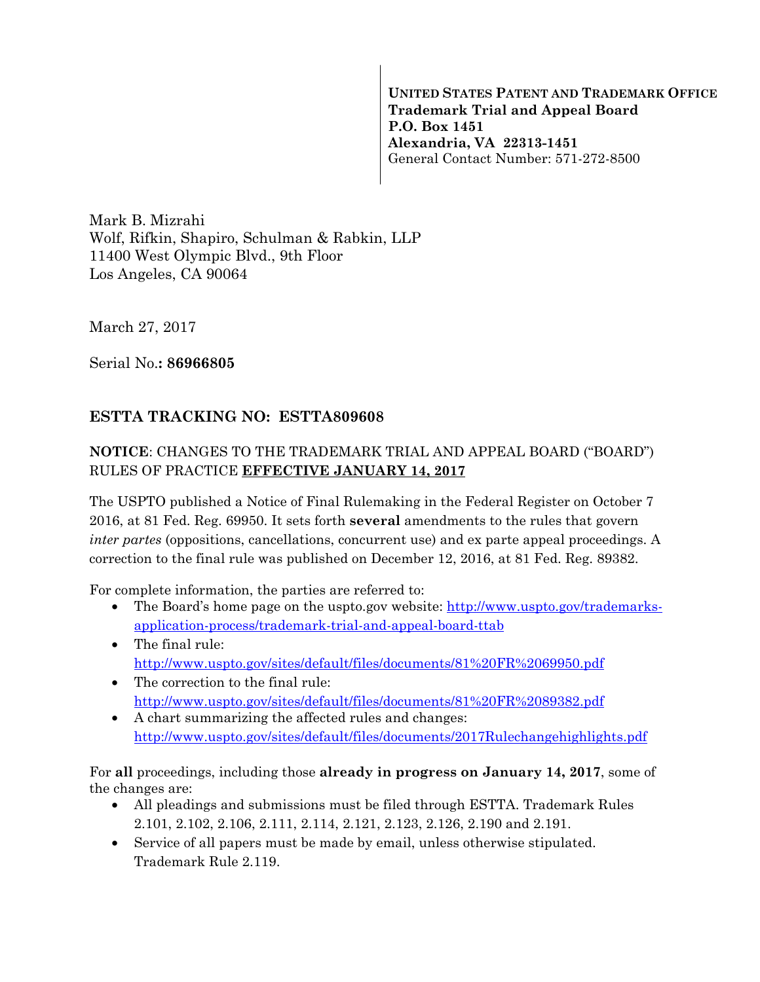**UNITED STATES PATENT AND TRADEMARK OFFICE Trademark Trial and Appeal Board P.O. Box 1451 Alexandria, VA 22313-1451**  General Contact Number: 571-272-8500

Mark B. Mizrahi Wolf, Rifkin, Shapiro, Schulman & Rabkin, LLP 11400 West Olympic Blvd., 9th Floor Los Angeles, CA 90064

March 27, 2017

Serial No.**: 86966805** 

## **ESTTA TRACKING NO: ESTTA809608**

## **NOTICE**: CHANGES TO THE TRADEMARK TRIAL AND APPEAL BOARD ("BOARD") RULES OF PRACTICE **EFFECTIVE JANUARY 14, 2017**

The USPTO published a Notice of Final Rulemaking in the Federal Register on October 7 2016, at 81 Fed. Reg. 69950. It sets forth **several** amendments to the rules that govern *inter partes* (oppositions, cancellations, concurrent use) and ex parte appeal proceedings. A correction to the final rule was published on December 12, 2016, at 81 Fed. Reg. 89382.

For complete information, the parties are referred to:

- The Board's home page on the uspto.gov website: http://www.uspto.gov/trademarksapplication-process/trademark-trial-and-appeal-board-ttab
- The final rule: http://www.uspto.gov/sites/default/files/documents/81%20FR%2069950.pdf
- The correction to the final rule: http://www.uspto.gov/sites/default/files/documents/81%20FR%2089382.pdf
- A chart summarizing the affected rules and changes: http://www.uspto.gov/sites/default/files/documents/2017Rulechangehighlights.pdf

For **all** proceedings, including those **already in progress on January 14, 2017**, some of the changes are:

- All pleadings and submissions must be filed through ESTTA. Trademark Rules 2.101, 2.102, 2.106, 2.111, 2.114, 2.121, 2.123, 2.126, 2.190 and 2.191.
- Service of all papers must be made by email, unless otherwise stipulated. Trademark Rule 2.119.